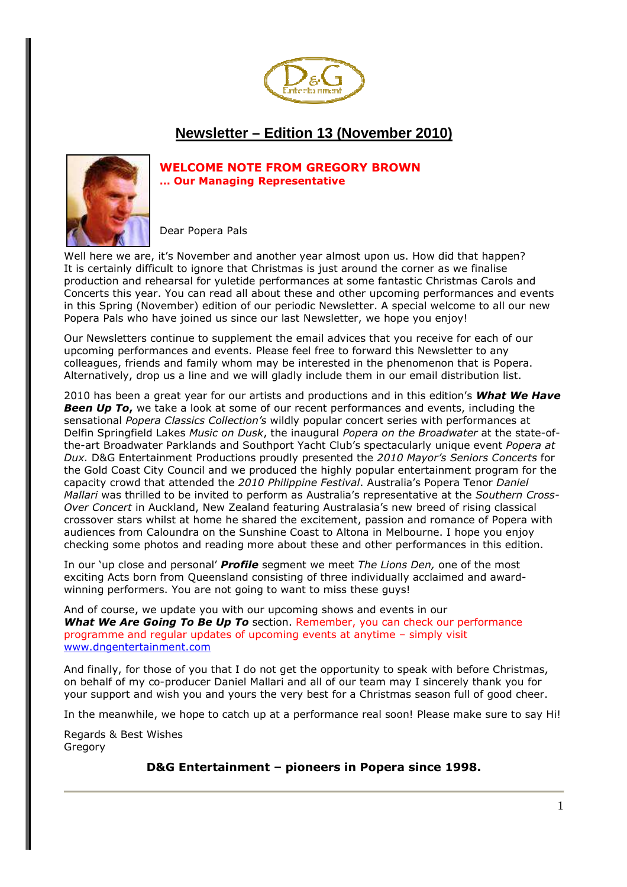

# **Newsletter – Edition 13 (November 2010)**



## **WELCOME NOTE FROM GREGORY BROWN … Our Managing Representative**

Dear Popera Pals

Well here we are, it's November and another year almost upon us. How did that happen? It is certainly difficult to ignore that Christmas is just around the corner as we finalise production and rehearsal for yuletide performances at some fantastic Christmas Carols and Concerts this year. You can read all about these and other upcoming performances and events in this Spring (November) edition of our periodic Newsletter. A special welcome to all our new Popera Pals who have joined us since our last Newsletter, we hope you enjoy!

Our Newsletters continue to supplement the email advices that you receive for each of our upcoming performances and events. Please feel free to forward this Newsletter to any colleagues, friends and family whom may be interested in the phenomenon that is Popera. Alternatively, drop us a line and we will gladly include them in our email distribution list.

2010 has been a great year for our artists and productions and in this edition's *What We Have*  **Been Up To**, we take a look at some of our recent performances and events, including the sensational *Popera Classics Collection's* wildly popular concert series with performances at Delfin Springfield Lakes *Music on Dusk*, the inaugural *Popera on the Broadwater* at the state-ofthe-art Broadwater Parklands and Southport Yacht Club's spectacularly unique event *Popera at Dux.* D&G Entertainment Productions proudly presented the *2010 Mayor's Seniors Concerts* for the Gold Coast City Council and we produced the highly popular entertainment program for the capacity crowd that attended the *2010 Philippine Festival*. Australia's Popera Tenor *Daniel Mallari* was thrilled to be invited to perform as Australia's representative at the *Southern Cross-Over Concert* in Auckland, New Zealand featuring Australasia's new breed of rising classical crossover stars whilst at home he shared the excitement, passion and romance of Popera with audiences from Caloundra on the Sunshine Coast to Altona in Melbourne. I hope you enjoy checking some photos and reading more about these and other performances in this edition.

In our 'up close and personal' *Profile* segment we meet *The Lions Den,* one of the most exciting Acts born from Queensland consisting of three individually acclaimed and awardwinning performers. You are not going to want to miss these guys!

And of course, we update you with our upcoming shows and events in our *What We Are Going To Be Up To* section. Remember, you can check our performance programme and regular updates of upcoming events at anytime – simply visit www.dngentertainment.com

And finally, for those of you that I do not get the opportunity to speak with before Christmas, on behalf of my co-producer Daniel Mallari and all of our team may I sincerely thank you for your support and wish you and yours the very best for a Christmas season full of good cheer.

In the meanwhile, we hope to catch up at a performance real soon! Please make sure to say Hi!

Regards & Best Wishes Gregory

**D&G Entertainment – pioneers in Popera since 1998.**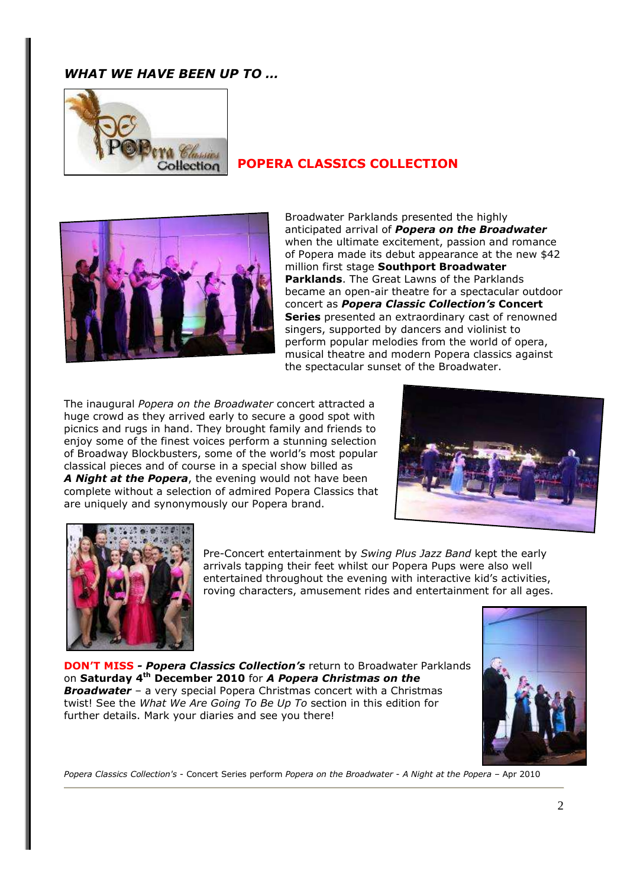# *WHAT WE HAVE BEEN UP TO …*



# **POPERA CLASSICS COLLECTION**



Broadwater Parklands presented the highly anticipated arrival of *Popera on the Broadwater* when the ultimate excitement, passion and romance of Popera made its debut appearance at the new \$42 million first stage **Southport Broadwater Parklands**. The Great Lawns of the Parklands became an open-air theatre for a spectacular outdoor concert as *Popera Classic Collection's* **Concert Series** presented an extraordinary cast of renowned singers, supported by dancers and violinist to perform popular melodies from the world of opera, musical theatre and modern Popera classics against the spectacular sunset of the Broadwater.

The inaugural *Popera on the Broadwater* concert attracted a huge crowd as they arrived early to secure a good spot with picnics and rugs in hand. They brought family and friends to enjoy some of the finest voices perform a stunning selection of Broadway Blockbusters, some of the world's most popular classical pieces and of course in a special show billed as *A Night at the Popera*, the evening would not have been complete without a selection of admired Popera Classics that are uniquely and synonymously our Popera brand.





Pre-Concert entertainment by *Swing Plus Jazz Band* kept the early arrivals tapping their feet whilst our Popera Pups were also well entertained throughout the evening with interactive kid's activities, roving characters, amusement rides and entertainment for all ages.

**DON'T MISS** *- Popera Classics Collection's* return to Broadwater Parklands on **Saturday 4th December 2010** for *A Popera Christmas on the Broadwater* – a very special Popera Christmas concert with a Christmas twist! See the *What We Are Going To Be Up To* section in this edition for further details. Mark your diaries and see you there!



*Popera Classics Collection's* - Concert Series perform *Popera on the Broadwater* - *A Night at the Popera* – Apr 2010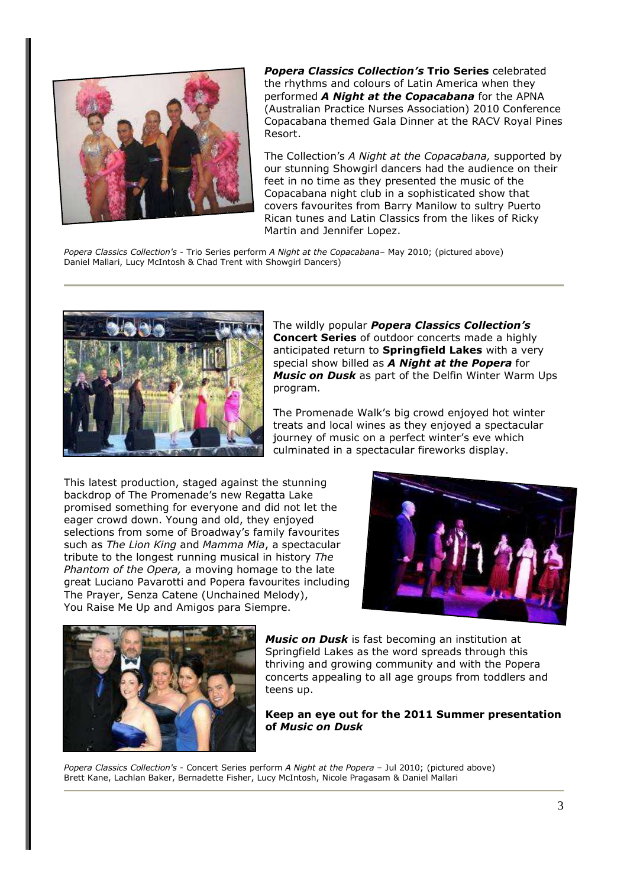

*Popera Classics Collection's* **Trio Series** celebrated the rhythms and colours of Latin America when they performed *A Night at the Copacabana* for the APNA (Australian Practice Nurses Association) 2010 Conference Copacabana themed Gala Dinner at the RACV Royal Pines Resort.

The Collection's *A Night at the Copacabana,* supported by our stunning Showgirl dancers had the audience on their feet in no time as they presented the music of the Copacabana night club in a sophisticated show that covers favourites from Barry Manilow to sultry Puerto Rican tunes and Latin Classics from the likes of Ricky Martin and Jennifer Lopez.

*Popera Classics Collection's* - Trio Series perform *A Night at the Copacabana*– May 2010; (pictured above) Daniel Mallari, Lucy McIntosh & Chad Trent with Showgirl Dancers)



The wildly popular *Popera Classics Collection's* **Concert Series** of outdoor concerts made a highly anticipated return to **Springfield Lakes** with a very special show billed as *A Night at the Popera* for *Music on Dusk* as part of the Delfin Winter Warm Ups program.

The Promenade Walk's big crowd enjoyed hot winter treats and local wines as they enjoyed a spectacular journey of music on a perfect winter's eve which culminated in a spectacular fireworks display.

This latest production, staged against the stunning backdrop of The Promenade's new Regatta Lake promised something for everyone and did not let the eager crowd down. Young and old, they enjoyed selections from some of Broadway's family favourites such as *The Lion King* and *Mamma Mia*, a spectacular tribute to the longest running musical in history *The Phantom of the Opera,* a moving homage to the late great Luciano Pavarotti and Popera favourites including The Prayer, Senza Catene (Unchained Melody), You Raise Me Up and Amigos para Siempre.





*Music on Dusk* is fast becoming an institution at Springfield Lakes as the word spreads through this thriving and growing community and with the Popera concerts appealing to all age groups from toddlers and teens up.

### **Keep an eye out for the 2011 Summer presentation of** *Music on Dusk*

*Popera Classics Collection's* - Concert Series perform *A Night at the Popera* – Jul 2010; (pictured above) Brett Kane, Lachlan Baker, Bernadette Fisher, Lucy McIntosh, Nicole Pragasam & Daniel Mallari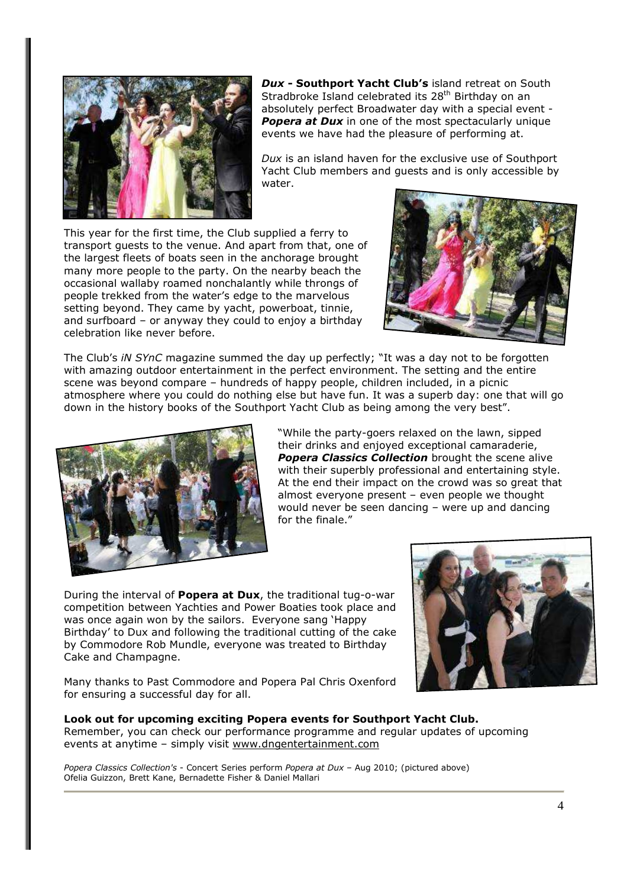

*Dux* **- Southport Yacht Club's** island retreat on South Stradbroke Island celebrated its 28<sup>th</sup> Birthday on an absolutely perfect Broadwater day with a special event - **Popera at Dux** in one of the most spectacularly unique events we have had the pleasure of performing at.

*Dux* is an island haven for the exclusive use of Southport Yacht Club members and guests and is only accessible by water.

This year for the first time, the Club supplied a ferry to transport guests to the venue. And apart from that, one of the largest fleets of boats seen in the anchorage brought many more people to the party. On the nearby beach the occasional wallaby roamed nonchalantly while throngs of people trekked from the water's edge to the marvelous setting beyond. They came by yacht, powerboat, tinnie, and surfboard – or anyway they could to enjoy a birthday celebration like never before.



The Club's *iN SYnC* magazine summed the day up perfectly; "It was a day not to be forgotten with amazing outdoor entertainment in the perfect environment. The setting and the entire scene was beyond compare – hundreds of happy people, children included, in a picnic atmosphere where you could do nothing else but have fun. It was a superb day: one that will go down in the history books of the Southport Yacht Club as being among the very best".



"While the party-goers relaxed on the lawn, sipped their drinks and enjoyed exceptional camaraderie, *Popera Classics Collection* brought the scene alive with their superbly professional and entertaining style. At the end their impact on the crowd was so great that almost everyone present – even people we thought would never be seen dancing – were up and dancing for the finale."

During the interval of **Popera at Dux**, the traditional tug-o-war competition between Yachties and Power Boaties took place and was once again won by the sailors. Everyone sang 'Happy Birthday' to Dux and following the traditional cutting of the cake by Commodore Rob Mundle, everyone was treated to Birthday Cake and Champagne.



Many thanks to Past Commodore and Popera Pal Chris Oxenford for ensuring a successful day for all.

**Look out for upcoming exciting Popera events for Southport Yacht Club.**  Remember, you can check our performance programme and regular updates of upcoming events at anytime – simply visit www.dngentertainment.com

*Popera Classics Collection's* - Concert Series perform *Popera at Dux* – Aug 2010; (pictured above) Ofelia Guizzon, Brett Kane, Bernadette Fisher & Daniel Mallari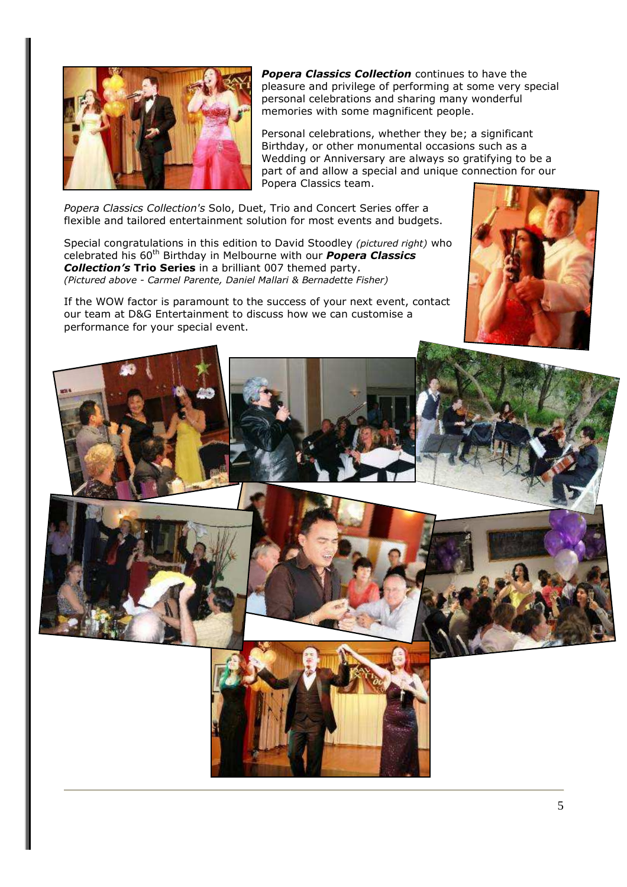

*Popera Classics Collection* continues to have the pleasure and privilege of performing at some very special personal celebrations and sharing many wonderful memories with some magnificent people.

Personal celebrations, whether they be; a significant Birthday, or other monumental occasions such as a Wedding or Anniversary are always so gratifying to be a part of and allow a special and unique connection for our Popera Classics team.

*Popera Classics Collection's* Solo, Duet, Trio and Concert Series offer a flexible and tailored entertainment solution for most events and budgets.

Special congratulations in this edition to David Stoodley *(pictured right)* who celebrated his 60th Birthday in Melbourne with our *Popera Classics Collection's* **Trio Series** in a brilliant 007 themed party. *(Pictured above - Carmel Parente, Daniel Mallari & Bernadette Fisher)* 

If the WOW factor is paramount to the success of your next event, contact our team at D&G Entertainment to discuss how we can customise a performance for your special event.



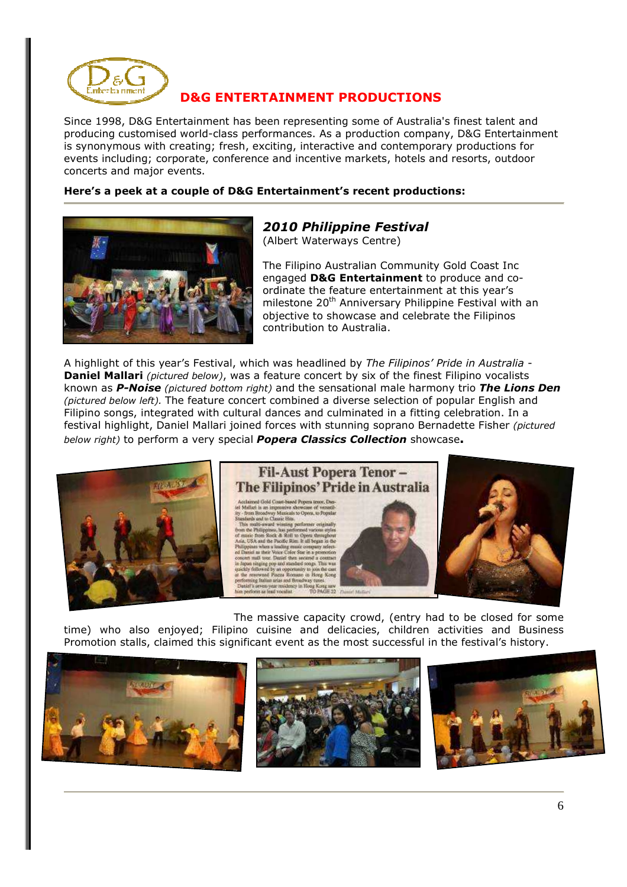

# **D&G ENTERTAINMENT PRODUCTIONS**

Since 1998, D&G Entertainment has been representing some of Australia's finest talent and producing customised world-class performances. As a production company, D&G Entertainment is synonymous with creating; fresh, exciting, interactive and contemporary productions for events including; corporate, conference and incentive markets, hotels and resorts, outdoor concerts and major events.

#### **Here's a peek at a couple of D&G Entertainment's recent productions:**



### *2010 Philippine Festival*  (Albert Waterways Centre)

The Filipino Australian Community Gold Coast Inc engaged **D&G Entertainment** to produce and coordinate the feature entertainment at this year's milestone 20<sup>th</sup> Anniversary Philippine Festival with an objective to showcase and celebrate the Filipinos contribution to Australia.

A highlight of this year's Festival, which was headlined by *The Filipinos' Pride in Australia* - **Daniel Mallari** *(pictured below)*, was a feature concert by six of the finest Filipino vocalists known as *P-Noise (pictured bottom right)* and the sensational male harmony trio *The Lions Den (pictured below left).* The feature concert combined a diverse selection of popular English and Filipino songs, integrated with cultural dances and culminated in a fitting celebration. In a festival highlight, Daniel Mallari joined forces with stunning soprano Bernadette Fisher *(pictured below right)* to perform a very special *Popera Classics Collection* showcase**.** 



The massive capacity crowd, (entry had to be closed for some time) who also enjoyed; Filipino cuisine and delicacies, children activities and Business Promotion stalls, claimed this significant event as the most successful in the festival's history.

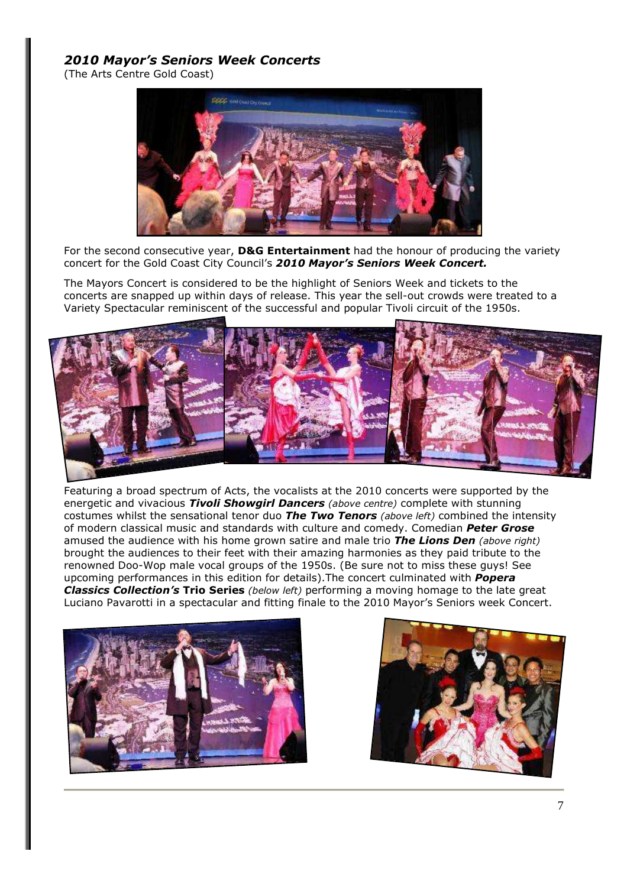# *2010 Mayor's Seniors Week Concerts*

(The Arts Centre Gold Coast)



For the second consecutive year, **D&G Entertainment** had the honour of producing the variety concert for the Gold Coast City Council's *2010 Mayor's Seniors Week Concert.* 

The Mayors Concert is considered to be the highlight of Seniors Week and tickets to the concerts are snapped up within days of release. This year the sell-out crowds were treated to a Variety Spectacular reminiscent of the successful and popular Tivoli circuit of the 1950s.



Featuring a broad spectrum of Acts, the vocalists at the 2010 concerts were supported by the energetic and vivacious *Tivoli Showgirl Dancers (above centre)* complete with stunning costumes whilst the sensational tenor duo *The Two Tenors (above left)* combined the intensity of modern classical music and standards with culture and comedy. Comedian *Peter Grose* amused the audience with his home grown satire and male trio *The Lions Den (above right)* brought the audiences to their feet with their amazing harmonies as they paid tribute to the renowned Doo-Wop male vocal groups of the 1950s. (Be sure not to miss these guys! See upcoming performances in this edition for details).The concert culminated with *Popera Classics Collection's* **Trio Series** *(below left)* performing a moving homage to the late great Luciano Pavarotti in a spectacular and fitting finale to the 2010 Mayor's Seniors week Concert.



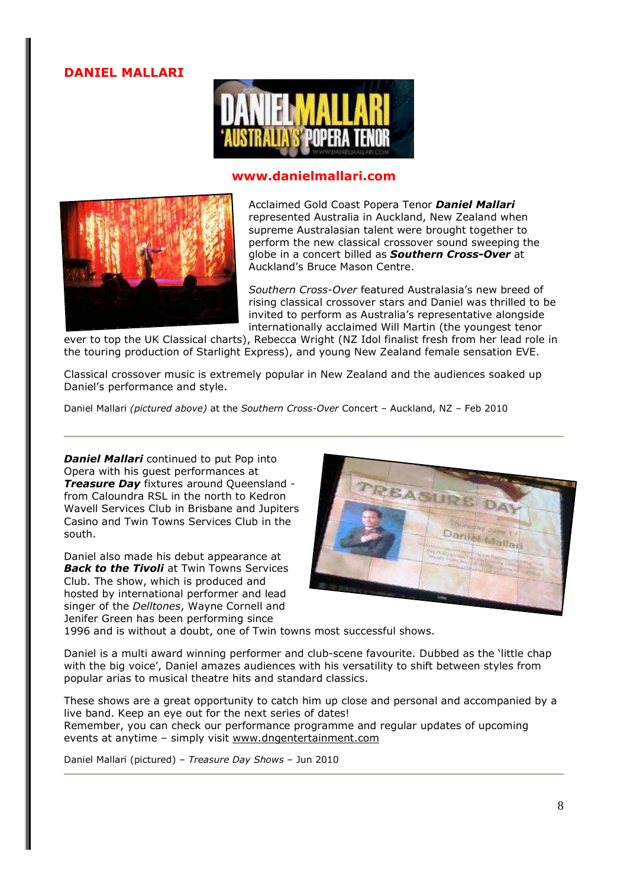**DANIEL MALLARI** 



### **www.danielmallari.com**



Acclaimed Gold Coast Popera Tenor *Daniel Mallari* represented Australia in Auckland, New Zealand when supreme Australasian talent were brought together to perform the new classical crossover sound sweeping the globe in a concert billed as *Southern Cross-Over* at Auckland's Bruce Mason Centre.

*Southern Cross-Over* featured Australasia's new breed of rising classical crossover stars and Daniel was thrilled to be invited to perform as Australia's representative alongside internationally acclaimed Will Martin (the youngest tenor

ever to top the UK Classical charts), Rebecca Wright (NZ Idol finalist fresh from her lead role in the touring production of Starlight Express), and young New Zealand female sensation EVE.

Classical crossover music is extremely popular in New Zealand and the audiences soaked up Daniel's performance and style.

Daniel Mallari *(pictured above)* at the *Southern Cross-Over* Concert – Auckland, NZ – Feb 2010

*Daniel Mallari* continued to put Pop into Opera with his guest performances at *Treasure Day* fixtures around Queensland from Caloundra RSL in the north to Kedron Wavell Services Club in Brisbane and Jupiters Casino and Twin Towns Services Club in the south.

Daniel also made his debut appearance at *Back to the Tivoli* at Twin Towns Services Club. The show, which is produced and hosted by international performer and lead singer of the *Delltones*, Wayne Cornell and Jenifer Green has been performing since



1996 and is without a doubt, one of Twin towns most successful shows.

Daniel is a multi award winning performer and club-scene favourite. Dubbed as the 'little chap with the big voice', Daniel amazes audiences with his versatility to shift between styles from popular arias to musical theatre hits and standard classics.

These shows are a great opportunity to catch him up close and personal and accompanied by a live band. Keep an eye out for the next series of dates! Remember, you can check our performance programme and regular updates of upcoming events at anytime – simply visit www.dngentertainment.com

Daniel Mallari (pictured) – *Treasure Day Shows* – Jun 2010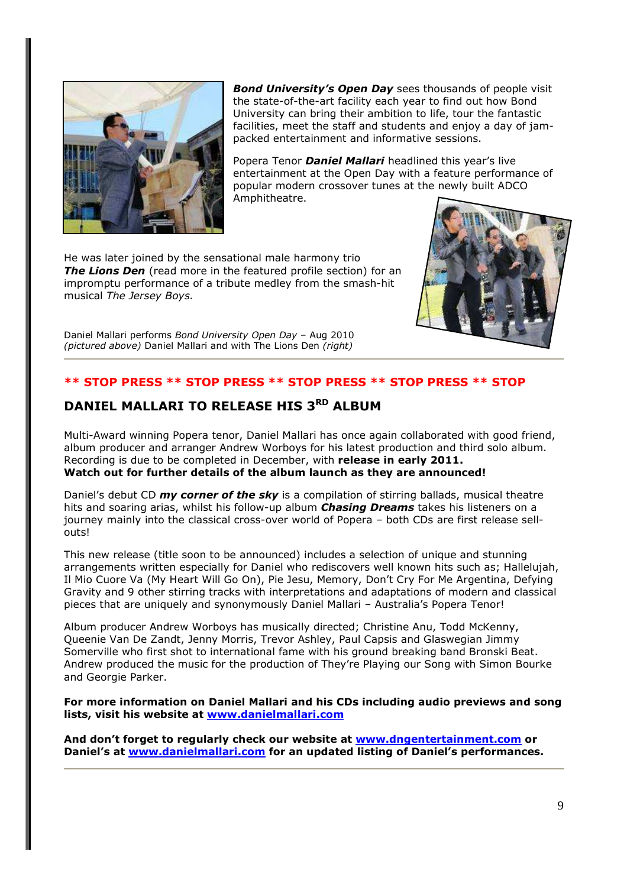

*Bond University's Open Day* sees thousands of people visit the state-of-the-art facility each year to find out how Bond University can bring their ambition to life, tour the fantastic facilities, meet the staff and students and enjoy a day of jampacked entertainment and informative sessions.

Popera Tenor *Daniel Mallari* headlined this year's live entertainment at the Open Day with a feature performance of popular modern crossover tunes at the newly built ADCO Amphitheatre.

He was later joined by the sensational male harmony trio **The Lions Den** (read more in the featured profile section) for an impromptu performance of a tribute medley from the smash-hit musical *The Jersey Boys.* 



Daniel Mallari performs *Bond University Open Day* – Aug 2010 *(pictured above)* Daniel Mallari and with The Lions Den *(right)*

## **\*\* STOP PRESS \*\* STOP PRESS \*\* STOP PRESS \*\* STOP PRESS \*\* STOP**

# **DANIEL MALLARI TO RELEASE HIS 3RD ALBUM**

Multi-Award winning Popera tenor, Daniel Mallari has once again collaborated with good friend, album producer and arranger Andrew Worboys for his latest production and third solo album. Recording is due to be completed in December, with **release in early 2011. Watch out for further details of the album launch as they are announced!**

Daniel's debut CD *my corner of the sky* is a compilation of stirring ballads, musical theatre hits and soaring arias, whilst his follow-up album *Chasing Dreams* takes his listeners on a journey mainly into the classical cross-over world of Popera – both CDs are first release sellouts!

This new release (title soon to be announced) includes a selection of unique and stunning arrangements written especially for Daniel who rediscovers well known hits such as; Hallelujah, Il Mio Cuore Va (My Heart Will Go On), Pie Jesu, Memory, Don't Cry For Me Argentina, Defying Gravity and 9 other stirring tracks with interpretations and adaptations of modern and classical pieces that are uniquely and synonymously Daniel Mallari – Australia's Popera Tenor!

Album producer Andrew Worboys has musically directed; Christine Anu, Todd McKenny, Queenie Van De Zandt, Jenny Morris, Trevor Ashley, Paul Capsis and Glaswegian Jimmy Somerville who first shot to international fame with his ground breaking band Bronski Beat. Andrew produced the music for the production of They're Playing our Song with Simon Bourke and Georgie Parker.

**For more information on Daniel Mallari and his CDs including audio previews and song lists, visit his website at www.danielmallari.com**

**And don't forget to regularly check our website at www.dngentertainment.com or Daniel's at www.danielmallari.com for an updated listing of Daniel's performances.**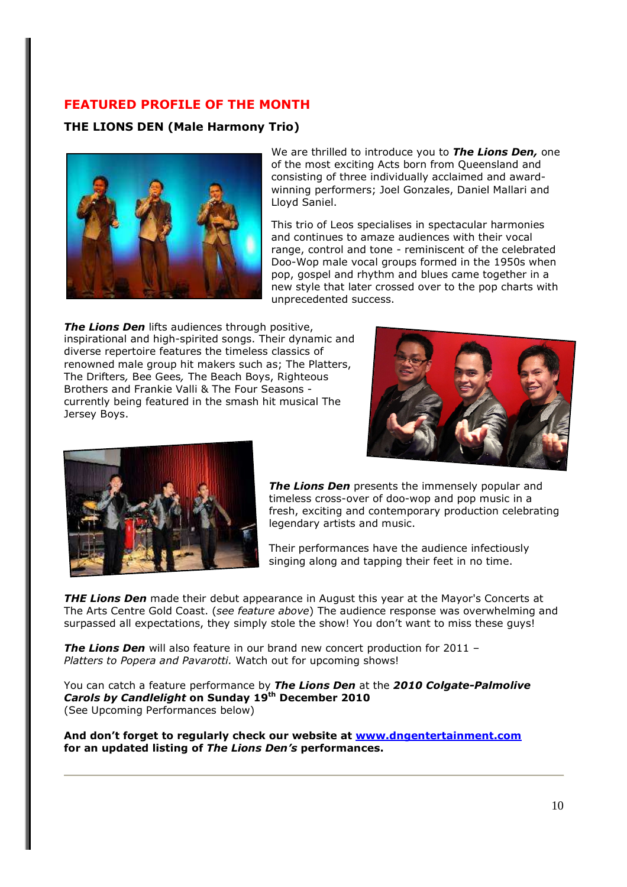# **FEATURED PROFILE OF THE MONTH**

**THE LIONS DEN (Male Harmony Trio)** 



We are thrilled to introduce you to *The Lions Den,* one of the most exciting Acts born from Queensland and consisting of three individually acclaimed and awardwinning performers; Joel Gonzales, Daniel Mallari and Lloyd Saniel.

This trio of Leos specialises in spectacular harmonies and continues to amaze audiences with their vocal range, control and tone - reminiscent of the celebrated Doo-Wop male vocal groups formed in the 1950s when pop, gospel and rhythm and blues came together in a new style that later crossed over to the pop charts with unprecedented success.

**The Lions Den** lifts audiences through positive, inspirational and high-spirited songs. Their dynamic and diverse repertoire features the timeless classics of renowned male group hit makers such as; The Platters, The Drifters*,* Bee Gees*,* The Beach Boys, Righteous Brothers and Frankie Valli & The Four Seasons currently being featured in the smash hit musical The Jersey Boys.





**The Lions Den** presents the immensely popular and timeless cross-over of doo-wop and pop music in a fresh, exciting and contemporary production celebrating legendary artists and music.

Their performances have the audience infectiously singing along and tapping their feet in no time.

*THE Lions Den* made their debut appearance in August this year at the Mayor's Concerts at The Arts Centre Gold Coast. (*see feature above*) The audience response was overwhelming and surpassed all expectations, they simply stole the show! You don't want to miss these guys!

*The Lions Den* will also feature in our brand new concert production for 2011 – *Platters to Popera and Pavarotti.* Watch out for upcoming shows!

You can catch a feature performance by *The Lions Den* at the *2010 Colgate-Palmolive Carols by Candlelight* **on Sunday 19th December 2010** (See Upcoming Performances below)

**And don't forget to regularly check our website at www.dngentertainment.com for an updated listing of** *The Lions Den's* **performances.**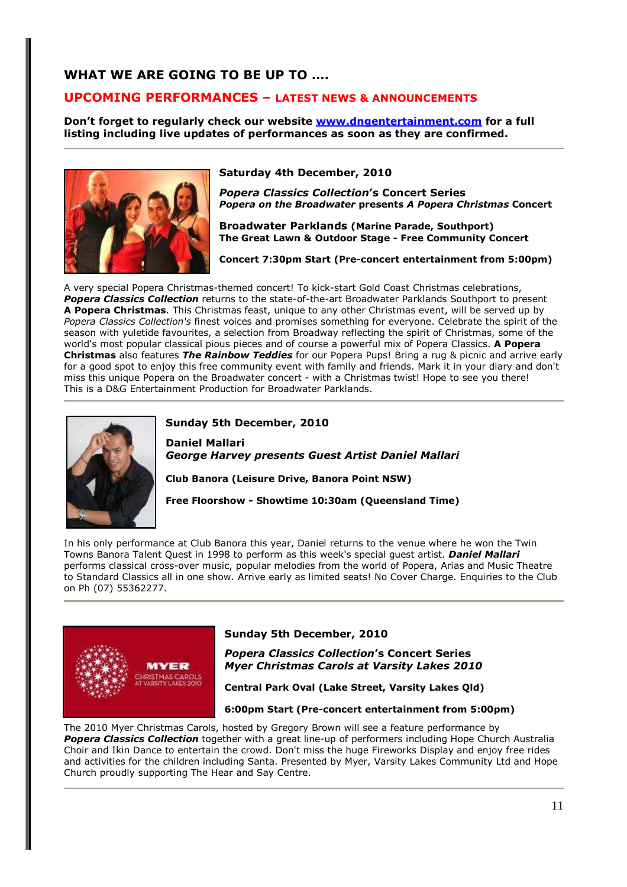# **WHAT WE ARE GOING TO BE UP TO ….**

### **UPCOMING PERFORMANCES – LATEST NEWS & ANNOUNCEMENTS**

**Don't forget to regularly check our website www.dngentertainment.com for a full listing including live updates of performances as soon as they are confirmed.**



**Saturday 4th December, 2010** 

*Popera Classics Collection***'s Concert Series**  *Popera on the Broadwater* **presents** *A Popera Christmas* **Concert** 

**Broadwater Parklands (Marine Parade, Southport) The Great Lawn & Outdoor Stage - Free Community Concert** 

**Concert 7:30pm Start (Pre-concert entertainment from 5:00pm)** 

A very special Popera Christmas-themed concert! To kick-start Gold Coast Christmas celebrations, *Popera Classics Collection* returns to the state-of-the-art Broadwater Parklands Southport to present **A Popera Christmas**. This Christmas feast, unique to any other Christmas event, will be served up by *Popera Classics Collection's* finest voices and promises something for everyone. Celebrate the spirit of the season with yuletide favourites, a selection from Broadway reflecting the spirit of Christmas, some of the world's most popular classical pious pieces and of course a powerful mix of Popera Classics. **A Popera Christmas** also features *The Rainbow Teddies* for our Popera Pups! Bring a rug & picnic and arrive early for a good spot to enjoy this free community event with family and friends. Mark it in your diary and don't miss this unique Popera on the Broadwater concert - with a Christmas twist! Hope to see you there! This is a D&G Entertainment Production for Broadwater Parklands.



#### **Sunday 5th December, 2010**

**Daniel Mallari** *George Harvey presents Guest Artist Daniel Mallari* 

**Club Banora (Leisure Drive, Banora Point NSW)** 

**Free Floorshow - Showtime 10:30am (Queensland Time)** 

In his only performance at Club Banora this year, Daniel returns to the venue where he won the Twin Towns Banora Talent Quest in 1998 to perform as this week's special guest artist. *Daniel Mallari* performs classical cross-over music, popular melodies from the world of Popera, Arias and Music Theatre to Standard Classics all in one show. Arrive early as limited seats! No Cover Charge. Enquiries to the Club on Ph (07) 55362277.



#### **Sunday 5th December, 2010**

*Popera Classics Collection***'s Concert Series**  *Myer Christmas Carols at Varsity Lakes 2010* 

**Central Park Oval (Lake Street, Varsity Lakes Qld)** 

**6:00pm Start (Pre-concert entertainment from 5:00pm)** 

The 2010 Myer Christmas Carols, hosted by Gregory Brown will see a feature performance by *Popera Classics Collection* together with a great line-up of performers including Hope Church Australia Choir and Ikin Dance to entertain the crowd. Don't miss the huge Fireworks Display and enjoy free rides and activities for the children including Santa. Presented by Myer, Varsity Lakes Community Ltd and Hope Church proudly supporting The Hear and Say Centre.